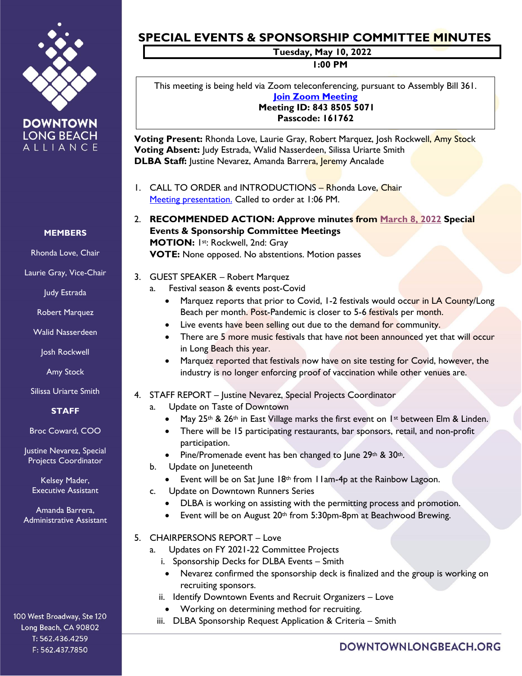

**DOWNTOWN LONG BEACH** ALLIANCE

### **MEMBERS**

Rhonda Love, Chair

Laurie Gray, Vice-Chair

Judy Estrada

Robert Marquez

Walid Nasserdeen

Josh Rockwell

Amy Stock

Silissa Uriarte Smith

## **STAFF**

Broc Coward, COO

Justine Nevarez, Special Projects Coordinator

Kelsey Mader, Executive Assistant

Amanda Barrera, Administrative Assistant

#### 100 West Broadway, Ste 120 Long Beach, CA 90802 T: 562.436.4259 F: 562.437.7850

# **SPECIAL EVENTS & SPONSORSHIP COMMITTEE MINUTES**

**Tuesday, May 10, 2022**

**1:00 PM**

This meeting is being held via Zoom teleconferencing, pursuant to Assembly Bill 361. **[Join Zoom Meeting](https://us02web.zoom.us/j/84385055071?pwd=QTgrVFBvRmIrMlJxODdKZnBsNlFlQT09) Meeting ID: 843 8505 5071**

**Passcode: 161762**

**Voting Present:** Rhonda Love, Laurie Gray, Robert Marquez, Josh Rockwell, Amy Stock **Voting Absent:** Judy Estrada, Walid Nasserdeen, Silissa Uriarte Smith **DLBA Staff:** Justine Nevarez, Amanda Barrera, Jeremy Ancalade

- 1. CALL TO ORDER and INTRODUCTIONS Rhonda Love, Chair [Meeting presentation.](https://downtownlongbeach.org/wp-content/uploads/8-Spec-Events-PPT-5.10.22-F.pdf) Called to order at 1:06 PM.
- 2. **RECOMMENDED ACTION: Approve minutes from March [8, 2022](https://downtownlongbeach.org/wp-content/uploads/1-Events-Minutes-March-2022-F.pdf) Special Events & Sponsorship Committee Meetings MOTION:** 1st: Rockwell, 2nd: Gray **VOTE:** None opposed. No abstentions. Motion passes
- 3. GUEST SPEAKER Robert Marquez
	- a. Festival season & events post-Covid
		- Marquez reports that prior to Covid, 1-2 festivals would occur in LA County/Long Beach per month. Post-Pandemic is closer to 5-6 festivals per month.
		- Live events have been selling out due to the demand for community.
		- There are 5 more music festivals that have not been announced yet that will occur in Long Beach this year.
		- Marquez reported that festivals now have on site testing for Covid, however, the industry is no longer enforcing proof of vaccination while other venues are.
- 4. STAFF REPORT Justine Nevarez, Special Projects Coordinator
	- a. Update on Taste of Downtown
		- May 25<sup>th</sup> & 26<sup>th</sup> in East Village marks the first event on 1<sup>st</sup> between Elm & Linden.
		- There will be 15 participating restaurants, bar sponsors, retail, and non-profit participation.
		- Pine/Promenade event has ben changed to June 29th & 30th.
	- b. Update on Juneteenth
		- Event will be on Sat June  $18<sup>th</sup>$  from 11am-4p at the Rainbow Lagoon.
	- c. Update on Downtown Runners Series
		- DLBA is working on assisting with the permitting process and promotion.
		- Event will be on August 20<sup>th</sup> from 5:30pm-8pm at Beachwood Brewing.
- 5. CHAIRPERSONS REPORT Love
	- a. Updates on FY 2021-22 Committee Projects
		- i. Sponsorship Decks for DLBA Events Smith
			- Nevarez confirmed the sponsorship deck is finalized and the group is working on recruiting sponsors.
		- ii. Identify Downtown Events and Recruit Organizers Love
			- Working on determining method for recruiting.
		- iii. DLBA Sponsorship Request Application & Criteria Smith